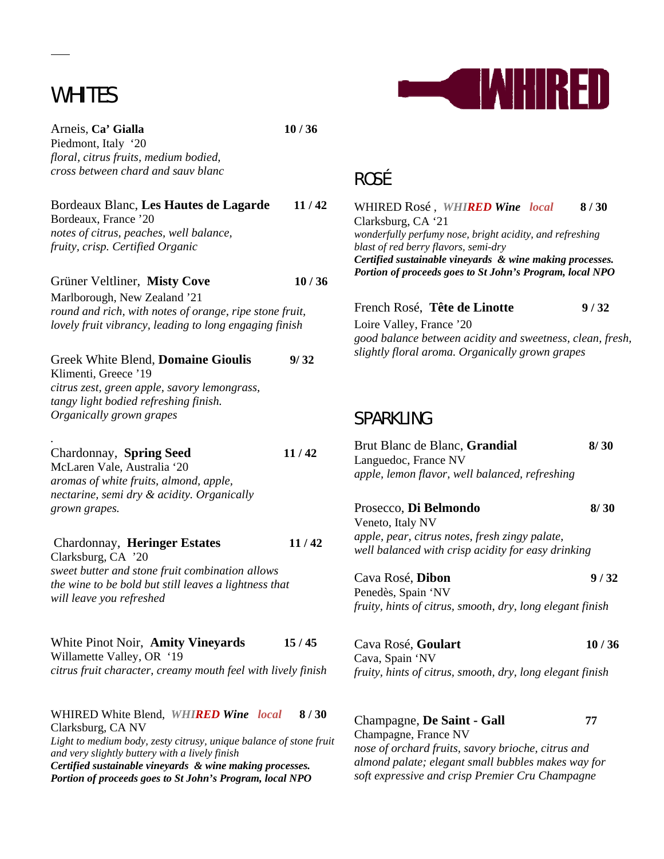# WHITES

 $\overline{a}$ 

*.* 

Arneis, **Ca' Gialla 10 / 36**  Piedmont, Italy '20 *floral, citrus fruits, medium bodied, cross between chard and sauv blanc*

Bordeaux Blanc, **Les Hautes de Lagarde 11 / 42**

Bordeaux, France '20 *notes of citrus, peaches, well balance, fruity, crisp. Certified Organic*

Grüner Veltliner, **Misty Cove 10 / 36** Marlborough, New Zealand '21

*round and rich, with notes of orange, ripe stone fruit, lovely fruit vibrancy, leading to long engaging finish*

| Greek White Blend, Domaine Gioulis           | 9/32 |
|----------------------------------------------|------|
| Klimenti. Greece '19                         |      |
| citrus zest, green apple, savory lemongrass, |      |
| tangy light bodied refreshing finish.        |      |
| Organically grown grapes                     |      |
|                                              |      |

Chardonnay, **Spring Seed 11 / 42**  McLaren Vale, Australia '20 *aromas of white fruits, almond, apple,* 

*nectarine, semi dry & acidity. Organically grown grapes.*

Chardonnay, **Heringer Estates 11 / 42** Clarksburg, CA '20 *sweet butter and stone fruit combination allows the wine to be bold but still leaves a lightness that will leave you refreshed*

White Pinot Noir, **Amity Vineyards 15 / 45** Willamette Valley, OR '19 *citrus fruit character, creamy mouth feel with lively finish*

WHIRED White Blend,*WHIRED Wine**local* **8 / 30**  Clarksburg, CA NV *Light to medium body, zesty citrusy, unique balance of stone fruit and very slightly buttery with a lively finish Certified sustainable vineyards & wine making processes. Portion of proceeds goes to St John's Program, local NPO* 



## ROSÉ

WHIRED Rosé ,*WHIRED Wine**local* **8 / 30**  Clarksburg, CA '21 *wonderfully perfumy nose, bright acidity, and refreshing blast of red berry flavors, semi-dry Certified sustainable vineyards & wine making processes. Portion of proceeds goes to St John's Program, local NPO* 

| French Rosé, Tête de Linotte                              | 9/32 |
|-----------------------------------------------------------|------|
| Loire Valley, France '20                                  |      |
| good balance between acidity and sweetness, clean, fresh, |      |
| slightly floral aroma. Organically grown grapes           |      |

### SPARKLING

| Brut Blanc de Blanc, Grandial<br>Languedoc, France NV                                                | 8/30  |
|------------------------------------------------------------------------------------------------------|-------|
| apple, lemon flavor, well balanced, refreshing                                                       |       |
| Prosecco, Di Belmondo<br>Veneto, Italy NV                                                            | 8/30  |
| apple, pear, citrus notes, fresh zingy palate,<br>well balanced with crisp acidity for easy drinking |       |
| Cava Rosé, Dibon<br>Penedès, Spain 'NV                                                               | 9/32  |
| fruity, hints of citrus, smooth, dry, long elegant finish                                            |       |
| Cava Rosé, Goulart<br>Cava, Spain 'NV                                                                | 10/36 |
| fruity, hints of citrus, smooth, dry, long elegant finish                                            |       |
|                                                                                                      |       |
| Champagne, De Saint - Gall                                                                           | 77    |

Champagne, France NV *nose of orchard fruits, savory brioche, citrus and almond palate; elegant small bubbles makes way for soft expressive and crisp Premier Cru Champagne*